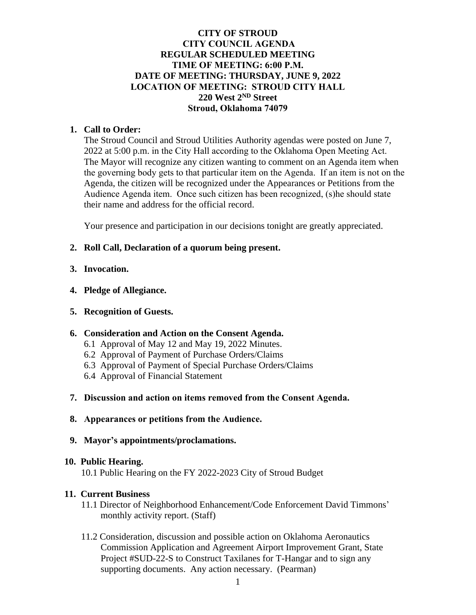## **CITY OF STROUD CITY COUNCIL AGENDA REGULAR SCHEDULED MEETING TIME OF MEETING: 6:00 P.M. DATE OF MEETING: THURSDAY, JUNE 9, 2022 LOCATION OF MEETING: STROUD CITY HALL 220 West 2ND Street Stroud, Oklahoma 74079**

## **1. Call to Order:**

The Stroud Council and Stroud Utilities Authority agendas were posted on June 7, 2022 at 5:00 p.m. in the City Hall according to the Oklahoma Open Meeting Act. The Mayor will recognize any citizen wanting to comment on an Agenda item when the governing body gets to that particular item on the Agenda. If an item is not on the Agenda, the citizen will be recognized under the Appearances or Petitions from the Audience Agenda item. Once such citizen has been recognized, (s)he should state their name and address for the official record.

Your presence and participation in our decisions tonight are greatly appreciated.

## **2. Roll Call, Declaration of a quorum being present.**

- **3. Invocation.**
- **4. Pledge of Allegiance.**
- **5. Recognition of Guests.**

### **6. Consideration and Action on the Consent Agenda.**

- 6.1 Approval of May 12 and May 19, 2022 Minutes.
- 6.2 Approval of Payment of Purchase Orders/Claims
- 6.3 Approval of Payment of Special Purchase Orders/Claims
- 6.4 Approval of Financial Statement
- **7. Discussion and action on items removed from the Consent Agenda.**
- **8. Appearances or petitions from the Audience.**
- **9. Mayor's appointments/proclamations.**

### **10. Public Hearing.**

10.1 Public Hearing on the FY 2022-2023 City of Stroud Budget

### **11. Current Business**

- 11.1 Director of Neighborhood Enhancement/Code Enforcement David Timmons' monthly activity report. (Staff)
- 11.2 Consideration, discussion and possible action on Oklahoma Aeronautics Commission Application and Agreement Airport Improvement Grant, State Project #SUD-22-S to Construct Taxilanes for T-Hangar and to sign any supporting documents. Any action necessary. (Pearman)